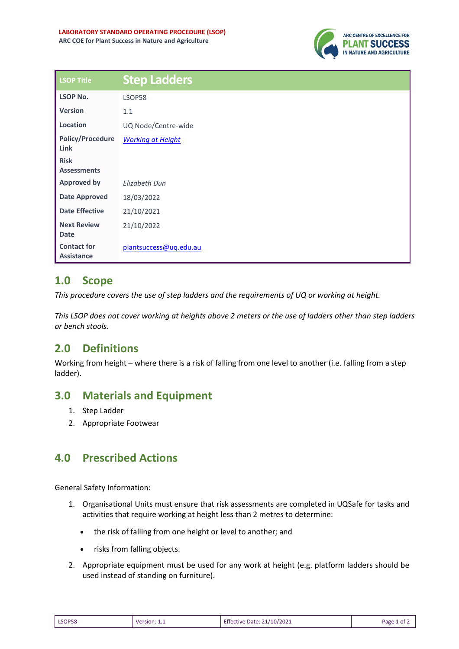

| LSOP Title                              | <b>Step Ladders</b>      |
|-----------------------------------------|--------------------------|
| <b>LSOP No.</b>                         | LSOP58                   |
| <b>Version</b>                          | 1.1                      |
| Location                                | UQ Node/Centre-wide      |
| <b>Policy/Procedure</b><br>Link         | <b>Working at Height</b> |
| <b>Risk</b><br><b>Assessments</b>       |                          |
| <b>Approved by</b>                      | <b>Elizabeth Dun</b>     |
| <b>Date Approved</b>                    | 18/03/2022               |
| <b>Date Effective</b>                   | 21/10/2021               |
| <b>Next Review</b><br><b>Date</b>       | 21/10/2022               |
| <b>Contact for</b><br><b>Assistance</b> | plantsuccess@uq.edu.au   |

## **1.0 Scope**

*This procedure covers the use of step ladders and the requirements of UQ or working at height.* 

*This LSOP does not cover working at heights above 2 meters or the use of ladders other than step ladders or bench stools.* 

# **2.0 Definitions**

Working from height – where there is a risk of falling from one level to another (i.e. falling from a step ladder).

## **3.0 Materials and Equipment**

- 1. Step Ladder
- 2. Appropriate Footwear

## **4.0 Prescribed Actions**

General Safety Information:

- 1. Organisational Units must ensure that risk assessments are completed in UQSafe for tasks and activities that require working at height less than 2 metres to determine:
	- the risk of falling from one height or level to another; and
	- risks from falling objects.
- 2. Appropriate equipment must be used for any work at height (e.g. platform ladders should be used instead of standing on furniture).

| LSOP58 | Version: 1.1 | <b>Effective Date: 21/10/2021</b> | Page 1 of 2 |
|--------|--------------|-----------------------------------|-------------|
|--------|--------------|-----------------------------------|-------------|